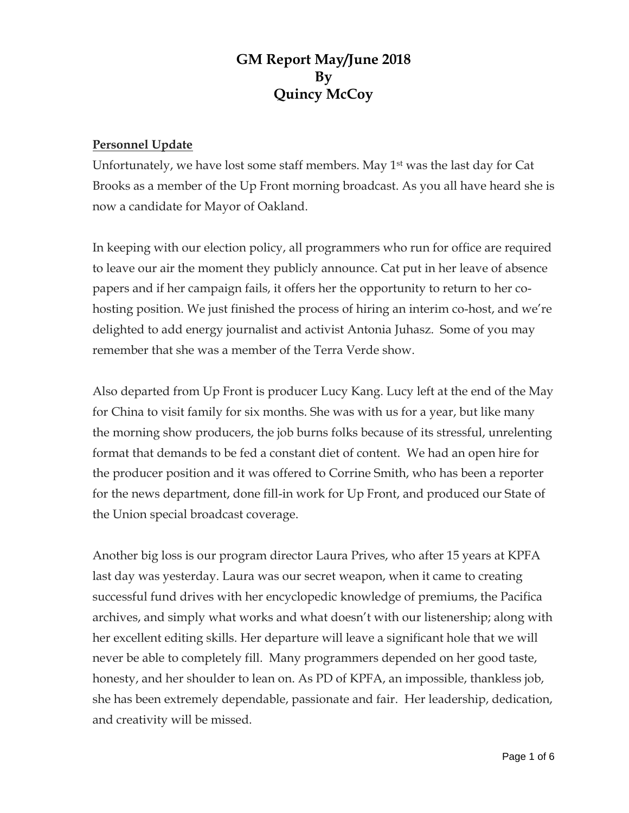# **GM Report May/June 2018 By Quincy McCoy**

# **Personnel Update**

Unfortunately, we have lost some staff members. May 1st was the last day for Cat Brooks as a member of the Up Front morning broadcast. As you all have heard she is now a candidate for Mayor of Oakland.

In keeping with our election policy, all programmers who run for office are required to leave our air the moment they publicly announce. Cat put in her leave of absence papers and if her campaign fails, it offers her the opportunity to return to her cohosting position. We just finished the process of hiring an interim co-host, and we're delighted to add energy journalist and activist Antonia Juhasz. Some of you may remember that she was a member of the Terra Verde show.

Also departed from Up Front is producer Lucy Kang. Lucy left at the end of the May for China to visit family for six months. She was with us for a year, but like many the morning show producers, the job burns folks because of its stressful, unrelenting format that demands to be fed a constant diet of content. We had an open hire for the producer position and it was offered to Corrine Smith, who has been a reporter for the news department, done fill-in work for Up Front, and produced our State of the Union special broadcast coverage.

Another big loss is our program director Laura Prives, who after 15 years at KPFA last day was yesterday. Laura was our secret weapon, when it came to creating successful fund drives with her encyclopedic knowledge of premiums, the Pacifica archives, and simply what works and what doesn't with our listenership; along with her excellent editing skills. Her departure will leave a significant hole that we will never be able to completely fill. Many programmers depended on her good taste, honesty, and her shoulder to lean on. As PD of KPFA, an impossible, thankless job, she has been extremely dependable, passionate and fair. Her leadership, dedication, and creativity will be missed.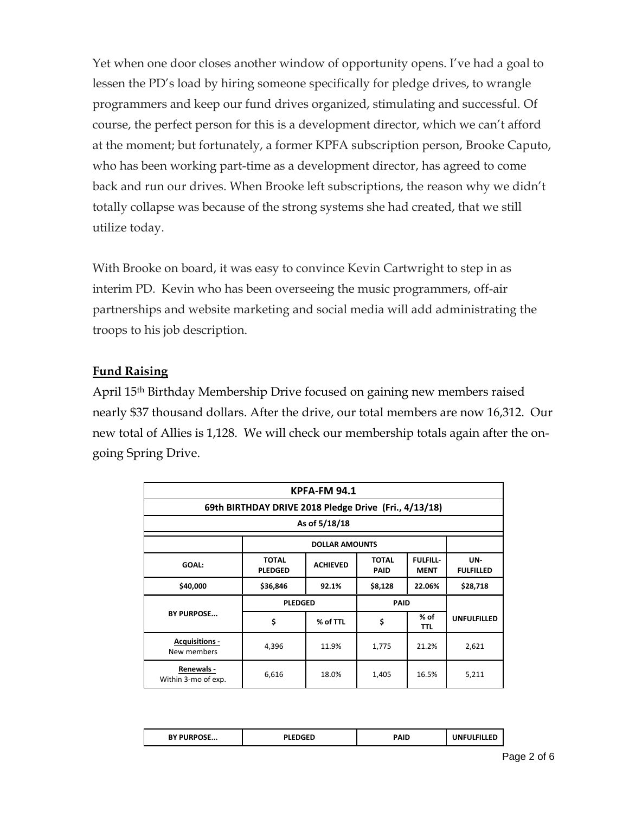Yet when one door closes another window of opportunity opens. I've had a goal to lessen the PD's load by hiring someone specifically for pledge drives, to wrangle programmers and keep our fund drives organized, stimulating and successful. Of course, the perfect person for this is a development director, which we can't afford at the moment; but fortunately, a former KPFA subscription person, Brooke Caputo, who has been working part-time as a development director, has agreed to come back and run our drives. When Brooke left subscriptions, the reason why we didn't totally collapse was because of the strong systems she had created, that we still utilize today.

With Brooke on board, it was easy to convince Kevin Cartwright to step in as interim PD. Kevin who has been overseeing the music programmers, off-air partnerships and website marketing and social media will add administrating the troops to his job description.

# **Fund Raising**

April 15th Birthday Membership Drive focused on gaining new members raised nearly \$37 thousand dollars. After the drive, our total members are now 16,312. Our new total of Allies is 1,128. We will check our membership totals again after the ongoing Spring Drive.

| <b>KPFA-FM 94.1</b>                                   |                                |                 |                             |                                |                         |  |
|-------------------------------------------------------|--------------------------------|-----------------|-----------------------------|--------------------------------|-------------------------|--|
| 69th BIRTHDAY DRIVE 2018 Pledge Drive (Fri., 4/13/18) |                                |                 |                             |                                |                         |  |
| As of 5/18/18                                         |                                |                 |                             |                                |                         |  |
|                                                       | <b>DOLLAR AMOUNTS</b>          |                 |                             |                                |                         |  |
| <b>GOAL:</b>                                          | <b>TOTAL</b><br><b>PLEDGED</b> | <b>ACHIEVED</b> | <b>TOTAL</b><br><b>PAID</b> | <b>FULFILL-</b><br><b>MENT</b> | UN-<br><b>FULFILLED</b> |  |
| \$40,000                                              | \$36,846                       | 92.1%           | \$8,128                     | 22.06%                         | \$28,718                |  |
|                                                       | <b>PLEDGED</b>                 |                 | PAID                        |                                |                         |  |
| <b>BY PURPOSE</b>                                     | \$                             | % of TTL        | \$                          | $%$ of<br><b>TTL</b>           | <b>UNFULFILLED</b>      |  |
| <b>Acquisitions -</b><br>New members                  | 4,396                          | 11.9%           | 1,775                       | 21.2%                          | 2,621                   |  |
| Renewals -<br>Within 3-mo of exp.                     | 6,616                          | 18.0%           | 1,405                       | 16.5%                          | 5,211                   |  |

| <b>BY PURPOSE</b><br><b>FRAFR</b><br>PAID<br>11.711.75<br>INFL<br>. .<br>.LE L<br>jii |
|---------------------------------------------------------------------------------------|
|---------------------------------------------------------------------------------------|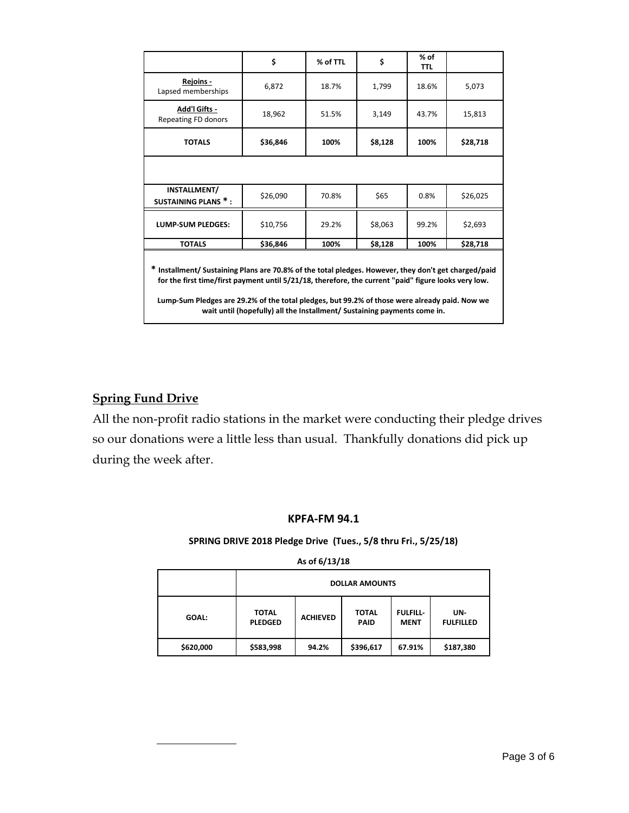|                                                                                                                                                                                                                                                                                                                                                                                           | \$       | % of TTL | \$      | $%$ of<br><b>TTL</b> |          |  |
|-------------------------------------------------------------------------------------------------------------------------------------------------------------------------------------------------------------------------------------------------------------------------------------------------------------------------------------------------------------------------------------------|----------|----------|---------|----------------------|----------|--|
| Rejoins -<br>Lapsed memberships                                                                                                                                                                                                                                                                                                                                                           | 6,872    | 18.7%    | 1,799   | 18.6%                | 5,073    |  |
| <b>Add'l Gifts -</b><br>Repeating FD donors                                                                                                                                                                                                                                                                                                                                               | 18,962   | 51.5%    | 3,149   | 43.7%                | 15,813   |  |
| <b>TOTALS</b>                                                                                                                                                                                                                                                                                                                                                                             | \$36,846 | 100%     | \$8,128 | 100%                 | \$28,718 |  |
|                                                                                                                                                                                                                                                                                                                                                                                           |          |          |         |                      |          |  |
| INSTALLMENT/<br><b>SUSTAINING PLANS *:</b>                                                                                                                                                                                                                                                                                                                                                | \$26,090 | 70.8%    | \$65    | 0.8%                 | \$26,025 |  |
| <b>LUMP-SUM PLEDGES:</b>                                                                                                                                                                                                                                                                                                                                                                  | \$10,756 | 29.2%    | \$8,063 | 99.2%                | \$2,693  |  |
| <b>TOTALS</b>                                                                                                                                                                                                                                                                                                                                                                             | \$36,846 | 100%     | \$8,128 | 100%                 | \$28,718 |  |
| * Installment/ Sustaining Plans are 70.8% of the total pledges. However, they don't get charged/paid<br>for the first time/first payment until 5/21/18, therefore, the current "paid" figure looks very low.<br>Lump-Sum Pledges are 29.2% of the total pledges, but 99.2% of those were already paid. Now we<br>wait until (hopefully) all the Installment/ Sustaining payments come in. |          |          |         |                      |          |  |

# **Spring Fund Drive**

All the non-profit radio stations in the market were conducting their pledge drives so our donations were a little less than usual. Thankfully donations did pick up during the week after.

#### **KPFA-FM 94.1**

#### **SPRING DRIVE 2018 Pledge Drive (Tues., 5/8 thru Fri., 5/25/18)**

**As of 6/13/18**

|           | <b>DOLLAR AMOUNTS</b>          |                 |                             |                                |                         |
|-----------|--------------------------------|-----------------|-----------------------------|--------------------------------|-------------------------|
| GOAL:     | <b>TOTAL</b><br><b>PLEDGED</b> | <b>ACHIEVED</b> | <b>TOTAL</b><br><b>PAID</b> | <b>FULFILL-</b><br><b>MENT</b> | UN-<br><b>FULFILLED</b> |
| \$620,000 | \$583,998                      | 94.2%           | \$396,617                   | 67.91%                         | \$187,380               |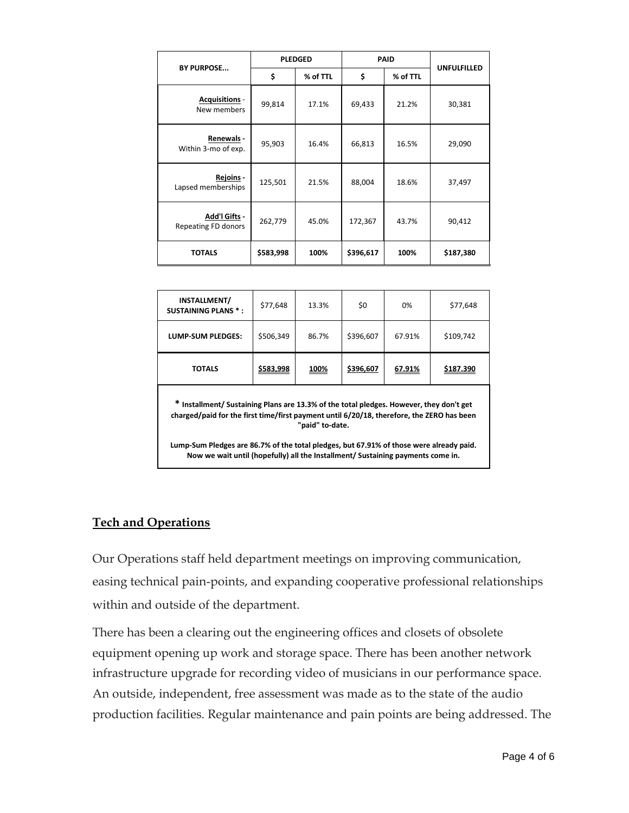| <b>BY PURPOSE</b>                           | <b>PLEDGED</b> |          | PAID      |          | <b>UNFULFILLED</b> |
|---------------------------------------------|----------------|----------|-----------|----------|--------------------|
|                                             | \$             | % of TTL | \$        | % of TTL |                    |
| <b>Acquisitions -</b><br>New members        | 99,814         | 17.1%    | 69,433    | 21.2%    | 30,381             |
| Renewals -<br>Within 3-mo of exp.           | 95,903         | 16.4%    | 66,813    | 16.5%    | 29,090             |
| Rejoins -<br>Lapsed memberships             | 125,501        | 21.5%    | 88,004    | 18.6%    | 37,497             |
| <b>Add'l Gifts -</b><br>Repeating FD donors | 262,779        | 45.0%    | 172,367   | 43.7%    | 90,412             |
| <b>TOTALS</b>                               | \$583,998      | 100%     | \$396,617 | 100%     | \$187,380          |

| INSTALLMENT/<br><b>SUSTAINING PLANS *:</b>                                                                                                                                                              | \$77,648  | 13.3%       | \$0       | 0%     | \$77,648         |  |
|---------------------------------------------------------------------------------------------------------------------------------------------------------------------------------------------------------|-----------|-------------|-----------|--------|------------------|--|
| LUMP-SUM PLEDGES:                                                                                                                                                                                       | \$506,349 | 86.7%       | \$396,607 | 67.91% | \$109,742        |  |
| <b>TOTALS</b>                                                                                                                                                                                           | \$583,998 | <b>100%</b> | \$396,607 | 67.91% | <u>\$187.390</u> |  |
| * Installment/ Sustaining Plans are 13.3% of the total pledges. However, they don't get<br>charged/paid for the first time/first payment until 6/20/18, therefore, the ZERO has been<br>"paid" to-date. |           |             |           |        |                  |  |

**Lump-Sum Pledges are 86.7% of the total pledges, but 67.91% of those were already paid. Now we wait until (hopefully) all the Installment/ Sustaining payments come in.**

# **Tech and Operations**

Our Operations staff held department meetings on improving communication, easing technical pain-points, and expanding cooperative professional relationships within and outside of the department.

There has been a clearing out the engineering offices and closets of obsolete equipment opening up work and storage space. There has been another network infrastructure upgrade for recording video of musicians in our performance space. An outside, independent, free assessment was made as to the state of the audio production facilities. Regular maintenance and pain points are being addressed. The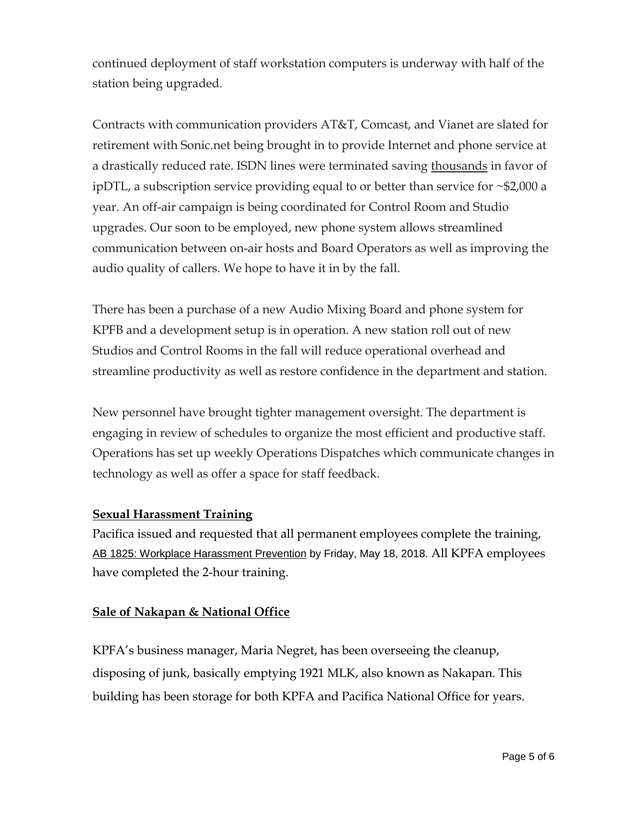continued deployment of staff workstation computers is underway with half of the station being upgraded.

Contracts with communication providers AT&T, Comcast, and Vianet are slated for retirement with Sonic.net being brought in to provide Internet and phone service at a drastically reduced rate. ISDN lines were terminated saving thousands in favor of ipDTL, a subscription service providing equal to or better than service for ~\$2,000 a year. An off-air campaign is being coordinated for Control Room and Studio upgrades. Our soon to be employed, new phone system allows streamlined communication between on-air hosts and Board Operators as well as improving the audio quality of callers. We hope to have it in by the fall.

There has been a purchase of a new Audio Mixing Board and phone system for KPFB and a development setup is in operation. A new station roll out of new Studios and Control Rooms in the fall will reduce operational overhead and streamline productivity as well as restore confidence in the department and station.

New personnel have brought tighter management oversight. The department is engaging in review of schedules to organize the most efficient and productive staff. Operations has set up weekly Operations Dispatches which communicate changes in technology as well as offer a space for staff feedback.

# **Sexual Harassment Training**

Pacifica issued and requested that all permanent employees complete the training, AB 1825: Workplace Harassment Prevention by Friday, May 18, 2018. All KPFA employees have completed the 2-hour training.

#### **Sale of Nakapan & National Office**

KPFA's business manager, Maria Negret, has been overseeing the cleanup, disposing of junk, basically emptying 1921 MLK, also known as Nakapan. This building has been storage for both KPFA and Pacifica National Office for years.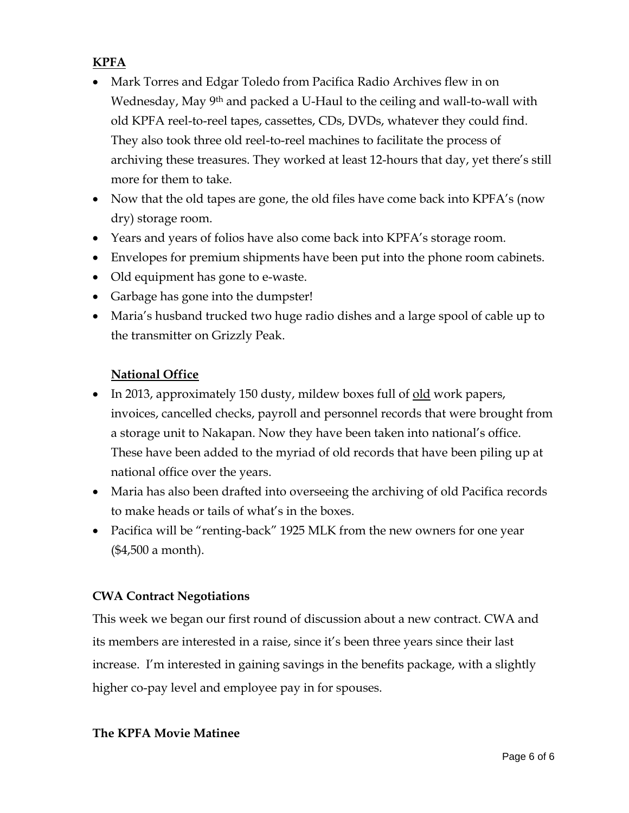# **KPFA**

- Mark Torres and Edgar Toledo from Pacifica Radio Archives flew in on Wednesday, May 9<sup>th</sup> and packed a U-Haul to the ceiling and wall-to-wall with old KPFA reel-to-reel tapes, cassettes, CDs, DVDs, whatever they could find. They also took three old reel-to-reel machines to facilitate the process of archiving these treasures. They worked at least 12-hours that day, yet there's still more for them to take.
- Now that the old tapes are gone, the old files have come back into KPFA's (now dry) storage room.
- Years and years of folios have also come back into KPFA's storage room.
- Envelopes for premium shipments have been put into the phone room cabinets.
- Old equipment has gone to e-waste.
- Garbage has gone into the dumpster!
- Maria's husband trucked two huge radio dishes and a large spool of cable up to the transmitter on Grizzly Peak.

# **National Office**

- In 2013, approximately 150 dusty, mildew boxes full of <u>old</u> work papers, invoices, cancelled checks, payroll and personnel records that were brought from a storage unit to Nakapan. Now they have been taken into national's office. These have been added to the myriad of old records that have been piling up at national office over the years.
- Maria has also been drafted into overseeing the archiving of old Pacifica records to make heads or tails of what's in the boxes.
- Pacifica will be "renting-back" 1925 MLK from the new owners for one year (\$4,500 a month).

#### **CWA Contract Negotiations**

This week we began our first round of discussion about a new contract. CWA and its members are interested in a raise, since it's been three years since their last increase. I'm interested in gaining savings in the benefits package, with a slightly higher co-pay level and employee pay in for spouses.

#### **The KPFA Movie Matinee**